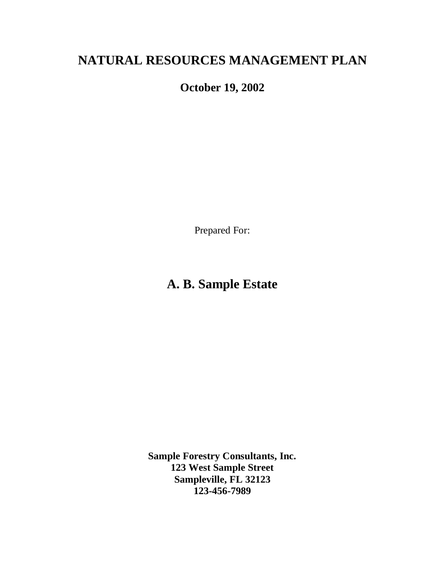# **NATURAL RESOURCES MANAGEMENT PLAN**

**October 19, 2002**

Prepared For:

# **A. B. Sample Estate**

**Sample Forestry Consultants, Inc. 123 West Sample Street Sampleville, FL 32123 123-456-7989**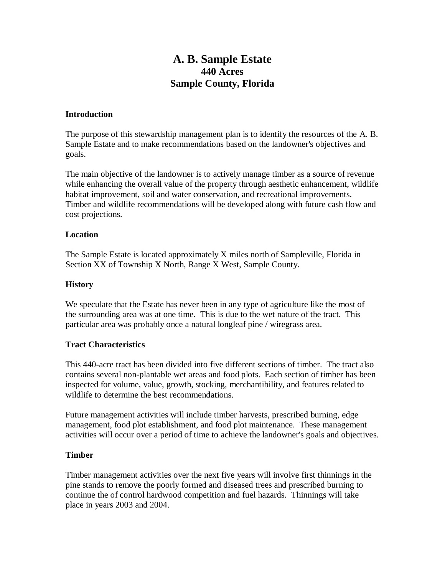## **A. B. Sample Estate 440 Acres Sample County, Florida**

#### **Introduction**

The purpose of this stewardship management plan is to identify the resources of the A. B. Sample Estate and to make recommendations based on the landowner's objectives and goals.

The main objective of the landowner is to actively manage timber as a source of revenue while enhancing the overall value of the property through aesthetic enhancement, wildlife habitat improvement, soil and water conservation, and recreational improvements. Timber and wildlife recommendations will be developed along with future cash flow and cost projections.

#### **Location**

The Sample Estate is located approximately X miles north of Sampleville, Florida in Section XX of Township X North, Range X West, Sample County.

#### **History**

We speculate that the Estate has never been in any type of agriculture like the most of the surrounding area was at one time. This is due to the wet nature of the tract. This particular area was probably once a natural longleaf pine / wiregrass area.

#### **Tract Characteristics**

This 440-acre tract has been divided into five different sections of timber. The tract also contains several non-plantable wet areas and food plots. Each section of timber has been inspected for volume, value, growth, stocking, merchantibility, and features related to wildlife to determine the best recommendations.

Future management activities will include timber harvests, prescribed burning, edge management, food plot establishment, and food plot maintenance. These management activities will occur over a period of time to achieve the landowner's goals and objectives.

## **Timber**

Timber management activities over the next five years will involve first thinnings in the pine stands to remove the poorly formed and diseased trees and prescribed burning to continue the of control hardwood competition and fuel hazards. Thinnings will take place in years 2003 and 2004.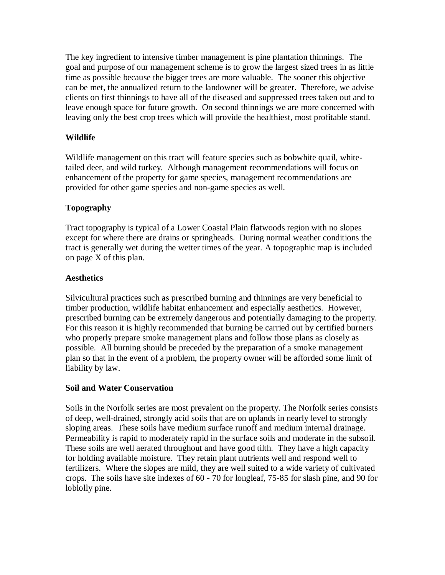The key ingredient to intensive timber management is pine plantation thinnings. The goal and purpose of our management scheme is to grow the largest sized trees in as little time as possible because the bigger trees are more valuable. The sooner this objective can be met, the annualized return to the landowner will be greater. Therefore, we advise clients on first thinnings to have all of the diseased and suppressed trees taken out and to leave enough space for future growth. On second thinnings we are more concerned with leaving only the best crop trees which will provide the healthiest, most profitable stand.

## **Wildlife**

Wildlife management on this tract will feature species such as bobwhite quail, whitetailed deer, and wild turkey. Although management recommendations will focus on enhancement of the property for game species, management recommendations are provided for other game species and non-game species as well.

## **Topography**

Tract topography is typical of a Lower Coastal Plain flatwoods region with no slopes except for where there are drains or springheads. During normal weather conditions the tract is generally wet during the wetter times of the year. A topographic map is included on page X of this plan.

## **Aesthetics**

Silvicultural practices such as prescribed burning and thinnings are very beneficial to timber production, wildlife habitat enhancement and especially aesthetics. However, prescribed burning can be extremely dangerous and potentially damaging to the property. For this reason it is highly recommended that burning be carried out by certified burners who properly prepare smoke management plans and follow those plans as closely as possible. All burning should be preceded by the preparation of a smoke management plan so that in the event of a problem, the property owner will be afforded some limit of liability by law.

## **Soil and Water Conservation**

Soils in the Norfolk series are most prevalent on the property. The Norfolk series consists of deep, well-drained, strongly acid soils that are on uplands in nearly level to strongly sloping areas. These soils have medium surface runoff and medium internal drainage. Permeability is rapid to moderately rapid in the surface soils and moderate in the subsoil. These soils are well aerated throughout and have good tilth. They have a high capacity for holding available moisture. They retain plant nutrients well and respond well to fertilizers. Where the slopes are mild, they are well suited to a wide variety of cultivated crops. The soils have site indexes of 60 - 70 for longleaf, 75-85 for slash pine, and 90 for loblolly pine.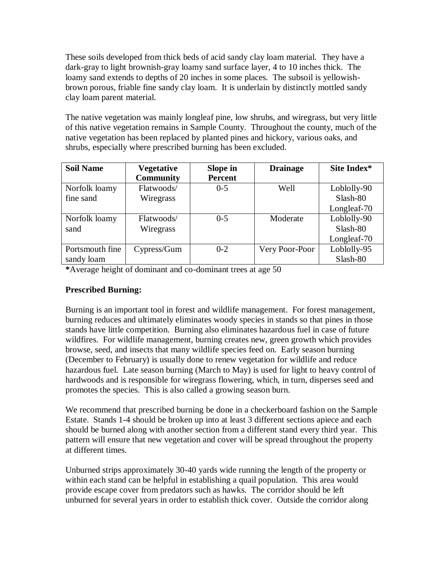These soils developed from thick beds of acid sandy clay loam material. They have a dark-gray to light brownish-gray loamy sand surface layer, 4 to 10 inches thick. The loamy sand extends to depths of 20 inches in some places. The subsoil is yellowishbrown porous, friable fine sandy clay loam. It is underlain by distinctly mottled sandy clay loam parent material.

The native vegetation was mainly longleaf pine, low shrubs, and wiregrass, but very little of this native vegetation remains in Sample County. Throughout the county, much of the native vegetation has been replaced by planted pines and hickory, various oaks, and shrubs, especially where prescribed burning has been excluded.

| <b>Soil Name</b> | <b>Vegetative</b> | Slope in       | <b>Drainage</b> | Site Index* |
|------------------|-------------------|----------------|-----------------|-------------|
|                  | <b>Community</b>  | <b>Percent</b> |                 |             |
| Norfolk loamy    | Flatwoods/        | $0 - 5$        | Well            | Loblolly-90 |
| fine sand        | Wiregrass         |                |                 | Slash-80    |
|                  |                   |                |                 | Longleaf-70 |
| Norfolk loamy    | Flatwoods/        | $0 - 5$        | Moderate        | Loblolly-90 |
| sand             | Wiregrass         |                |                 | Slash-80    |
|                  |                   |                |                 | Longleaf-70 |
| Portsmouth fine  | Cypress/Gum       | $0 - 2$        | Very Poor-Poor  | Loblolly-95 |
| sandy loam       |                   |                |                 | Slash-80    |

**\***Average height of dominant and co-dominant trees at age 50

## **Prescribed Burning:**

Burning is an important tool in forest and wildlife management. For forest management, burning reduces and ultimately eliminates woody species in stands so that pines in those stands have little competition. Burning also eliminates hazardous fuel in case of future wildfires. For wildlife management, burning creates new, green growth which provides browse, seed, and insects that many wildlife species feed on. Early season burning (December to February) is usually done to renew vegetation for wildlife and reduce hazardous fuel. Late season burning (March to May) is used for light to heavy control of hardwoods and is responsible for wiregrass flowering, which, in turn, disperses seed and promotes the species. This is also called a growing season burn.

We recommend that prescribed burning be done in a checkerboard fashion on the Sample Estate. Stands 1-4 should be broken up into at least 3 different sections apiece and each should be burned along with another section from a different stand every third year. This pattern will ensure that new vegetation and cover will be spread throughout the property at different times.

Unburned strips approximately 30-40 yards wide running the length of the property or within each stand can be helpful in establishing a quail population. This area would provide escape cover from predators such as hawks. The corridor should be left unburned for several years in order to establish thick cover. Outside the corridor along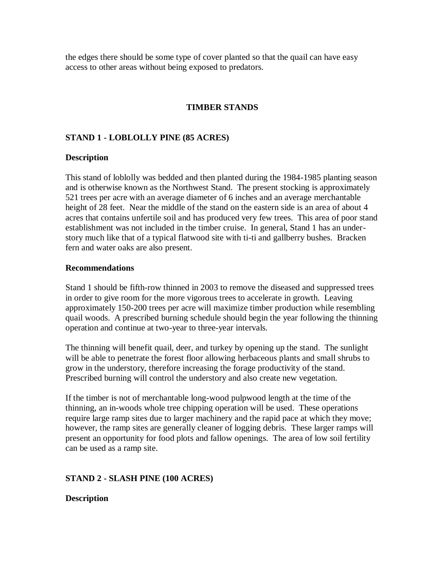the edges there should be some type of cover planted so that the quail can have easy access to other areas without being exposed to predators.

### **TIMBER STANDS**

#### **STAND 1 - LOBLOLLY PINE (85 ACRES)**

#### **Description**

This stand of loblolly was bedded and then planted during the 1984-1985 planting season and is otherwise known as the Northwest Stand. The present stocking is approximately 521 trees per acre with an average diameter of 6 inches and an average merchantable height of 28 feet. Near the middle of the stand on the eastern side is an area of about 4 acres that contains unfertile soil and has produced very few trees. This area of poor stand establishment was not included in the timber cruise. In general, Stand 1 has an understory much like that of a typical flatwood site with ti-ti and gallberry bushes. Bracken fern and water oaks are also present.

#### **Recommendations**

Stand 1 should be fifth-row thinned in 2003 to remove the diseased and suppressed trees in order to give room for the more vigorous trees to accelerate in growth. Leaving approximately 150-200 trees per acre will maximize timber production while resembling quail woods. A prescribed burning schedule should begin the year following the thinning operation and continue at two-year to three-year intervals.

The thinning will benefit quail, deer, and turkey by opening up the stand. The sunlight will be able to penetrate the forest floor allowing herbaceous plants and small shrubs to grow in the understory, therefore increasing the forage productivity of the stand. Prescribed burning will control the understory and also create new vegetation.

If the timber is not of merchantable long-wood pulpwood length at the time of the thinning, an in-woods whole tree chipping operation will be used. These operations require large ramp sites due to larger machinery and the rapid pace at which they move; however, the ramp sites are generally cleaner of logging debris. These larger ramps will present an opportunity for food plots and fallow openings. The area of low soil fertility can be used as a ramp site.

#### **STAND 2 - SLASH PINE (100 ACRES)**

#### **Description**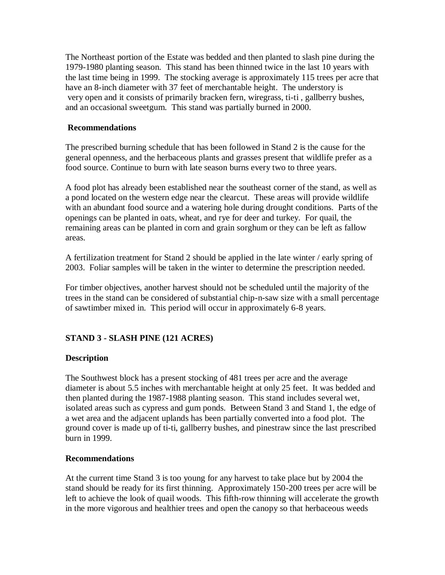The Northeast portion of the Estate was bedded and then planted to slash pine during the 1979-1980 planting season. This stand has been thinned twice in the last 10 years with the last time being in 1999. The stocking average is approximately 115 trees per acre that have an 8-inch diameter with 37 feet of merchantable height. The understory is very open and it consists of primarily bracken fern, wiregrass, ti-ti , gallberry bushes, and an occasional sweetgum. This stand was partially burned in 2000.

#### **Recommendations**

The prescribed burning schedule that has been followed in Stand 2 is the cause for the general openness, and the herbaceous plants and grasses present that wildlife prefer as a food source. Continue to burn with late season burns every two to three years.

A food plot has already been established near the southeast corner of the stand, as well as a pond located on the western edge near the clearcut. These areas will provide wildlife with an abundant food source and a watering hole during drought conditions. Parts of the openings can be planted in oats, wheat, and rye for deer and turkey. For quail, the remaining areas can be planted in corn and grain sorghum or they can be left as fallow areas.

A fertilization treatment for Stand 2 should be applied in the late winter / early spring of 2003. Foliar samples will be taken in the winter to determine the prescription needed.

For timber objectives, another harvest should not be scheduled until the majority of the trees in the stand can be considered of substantial chip-n-saw size with a small percentage of sawtimber mixed in. This period will occur in approximately 6-8 years.

## **STAND 3 - SLASH PINE (121 ACRES)**

#### **Description**

The Southwest block has a present stocking of 481 trees per acre and the average diameter is about 5.5 inches with merchantable height at only 25 feet. It was bedded and then planted during the 1987-1988 planting season. This stand includes several wet, isolated areas such as cypress and gum ponds. Between Stand 3 and Stand 1, the edge of a wet area and the adjacent uplands has been partially converted into a food plot. The ground cover is made up of ti-ti, gallberry bushes, and pinestraw since the last prescribed burn in 1999.

#### **Recommendations**

At the current time Stand 3 is too young for any harvest to take place but by 2004 the stand should be ready for its first thinning. Approximately 150-200 trees per acre will be left to achieve the look of quail woods. This fifth-row thinning will accelerate the growth in the more vigorous and healthier trees and open the canopy so that herbaceous weeds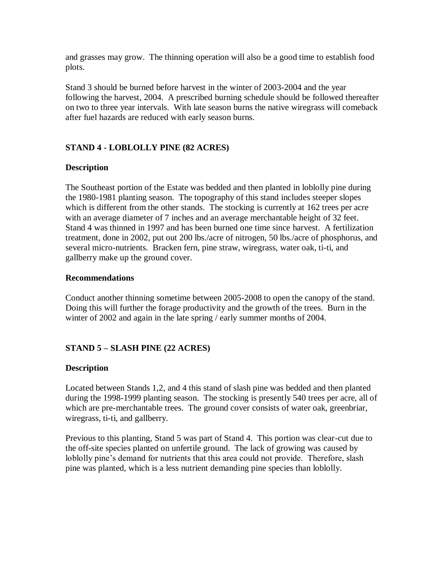and grasses may grow. The thinning operation will also be a good time to establish food plots.

Stand 3 should be burned before harvest in the winter of 2003-2004 and the year following the harvest, 2004. A prescribed burning schedule should be followed thereafter on two to three year intervals. With late season burns the native wiregrass will comeback after fuel hazards are reduced with early season burns.

## **STAND 4 - LOBLOLLY PINE (82 ACRES)**

## **Description**

The Southeast portion of the Estate was bedded and then planted in loblolly pine during the 1980-1981 planting season. The topography of this stand includes steeper slopes which is different from the other stands. The stocking is currently at 162 trees per acre with an average diameter of 7 inches and an average merchantable height of 32 feet. Stand 4 was thinned in 1997 and has been burned one time since harvest. A fertilization treatment, done in 2002, put out 200 lbs./acre of nitrogen, 50 lbs./acre of phosphorus, and several micro-nutrients. Bracken fern, pine straw, wiregrass, water oak, ti-ti, and gallberry make up the ground cover.

#### **Recommendations**

Conduct another thinning sometime between 2005-2008 to open the canopy of the stand. Doing this will further the forage productivity and the growth of the trees. Burn in the winter of 2002 and again in the late spring / early summer months of 2004.

## **STAND 5 – SLASH PINE (22 ACRES)**

## **Description**

Located between Stands 1,2, and 4 this stand of slash pine was bedded and then planted during the 1998-1999 planting season. The stocking is presently 540 trees per acre, all of which are pre-merchantable trees. The ground cover consists of water oak, greenbriar, wiregrass, ti-ti, and gallberry.

Previous to this planting, Stand 5 was part of Stand 4. This portion was clear-cut due to the off-site species planted on unfertile ground. The lack of growing was caused by loblolly pine's demand for nutrients that this area could not provide. Therefore, slash pine was planted, which is a less nutrient demanding pine species than loblolly.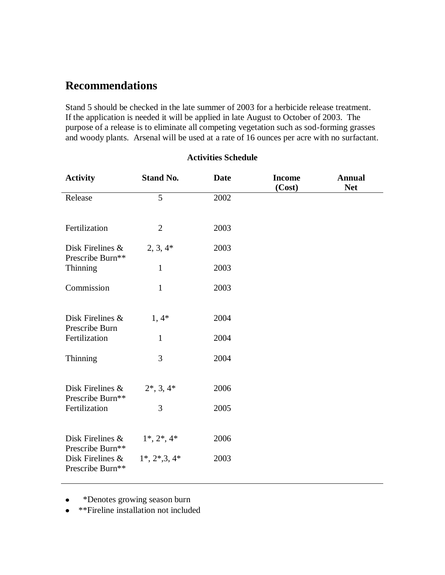## **Recommendations**

Stand 5 should be checked in the late summer of 2003 for a herbicide release treatment. If the application is needed it will be applied in late August to October of 2003. The purpose of a release is to eliminate all competing vegetation such as sod-forming grasses and woody plants. Arsenal will be used at a rate of 16 ounces per acre with no surfactant.

| <b>Stand No.</b><br><b>Activity</b>     |                    | <b>Date</b> | <b>Income</b><br>(Cost) | <b>Annual</b><br><b>Net</b> |
|-----------------------------------------|--------------------|-------------|-------------------------|-----------------------------|
| Release                                 | 5                  | 2002        |                         |                             |
| Fertilization                           | $\overline{2}$     | 2003        |                         |                             |
| Disk Firelines &<br>Prescribe Burn**    | $2, 3, 4*$         | 2003        |                         |                             |
| <b>Thinning</b>                         | $\mathbf{1}$       | 2003        |                         |                             |
| Commission                              | $\mathbf{1}$       | 2003        |                         |                             |
| Disk Firelines &<br>Prescribe Burn      | $1,4*$             | 2004        |                         |                             |
| Fertilization                           | $\mathbf{1}$       | 2004        |                         |                             |
| Thinning                                | 3                  | 2004        |                         |                             |
| Disk Firelines &<br>Prescribe Burn**    | $2^*, 3, 4^*$      | 2006        |                         |                             |
| Fertilization                           | 3                  | 2005        |                         |                             |
| Disk Firelines &<br>Prescribe Burn**    | $1^*, 2^*, 4^*$    | 2006        |                         |                             |
| Disk Firelines $\&$<br>Prescribe Burn** | $1^*, 2^*, 3, 4^*$ | 2003        |                         |                             |

**Activities Schedule**

 \*Denotes growing season burn  $\bullet$ 

\*\*Fireline installation not included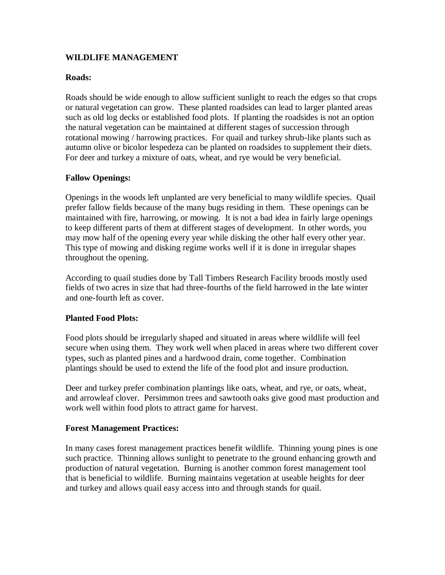### **WILDLIFE MANAGEMENT**

#### **Roads:**

Roads should be wide enough to allow sufficient sunlight to reach the edges so that crops or natural vegetation can grow. These planted roadsides can lead to larger planted areas such as old log decks or established food plots. If planting the roadsides is not an option the natural vegetation can be maintained at different stages of succession through rotational mowing / harrowing practices. For quail and turkey shrub-like plants such as autumn olive or bicolor lespedeza can be planted on roadsides to supplement their diets. For deer and turkey a mixture of oats, wheat, and rye would be very beneficial.

#### **Fallow Openings:**

Openings in the woods left unplanted are very beneficial to many wildlife species. Quail prefer fallow fields because of the many bugs residing in them. These openings can be maintained with fire, harrowing, or mowing. It is not a bad idea in fairly large openings to keep different parts of them at different stages of development. In other words, you may mow half of the opening every year while disking the other half every other year. This type of mowing and disking regime works well if it is done in irregular shapes throughout the opening.

According to quail studies done by Tall Timbers Research Facility broods mostly used fields of two acres in size that had three-fourths of the field harrowed in the late winter and one-fourth left as cover.

#### **Planted Food Plots:**

Food plots should be irregularly shaped and situated in areas where wildlife will feel secure when using them. They work well when placed in areas where two different cover types, such as planted pines and a hardwood drain, come together. Combination plantings should be used to extend the life of the food plot and insure production.

Deer and turkey prefer combination plantings like oats, wheat, and rye, or oats, wheat, and arrowleaf clover. Persimmon trees and sawtooth oaks give good mast production and work well within food plots to attract game for harvest.

#### **Forest Management Practices:**

In many cases forest management practices benefit wildlife. Thinning young pines is one such practice. Thinning allows sunlight to penetrate to the ground enhancing growth and production of natural vegetation. Burning is another common forest management tool that is beneficial to wildlife. Burning maintains vegetation at useable heights for deer and turkey and allows quail easy access into and through stands for quail.